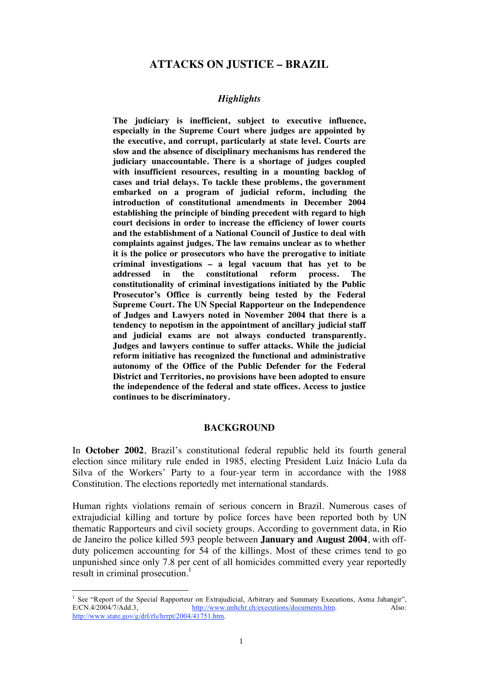## **ATTACKS ON JUSTICE – BRAZIL**

#### *Highlights*

**The judiciary is inefficient, subject to executive influence, especially in the Supreme Court where judges are appointed by the executive, and corrupt, particularly at state level. Courts are slow and the absence of disciplinary mechanisms has rendered the judiciary unaccountable. There is a shortage of judges coupled with insufficient resources, resulting in a mounting backlog of cases and trial delays. To tackle these problems, the government embarked on a program of judicial reform, including the introduction of constitutional amendments in December 2004 establishing the principle of binding precedent with regard to high court decisions in order to increase the efficiency of lower courts and the establishment of a National Council of Justice to deal with complaints against judges. The law remains unclear as to whether it is the police or prosecutors who have the prerogative to initiate criminal investigations – a legal vacuum that has yet to be addressed in the constitutional reform process. The constitutionality of criminal investigations initiated by the Public Prosecutor's Office is currently being tested by the Federal Supreme Court. The UN Special Rapporteur on the Independence of Judges and Lawyers noted in November 2004 that there is a tendency to nepotism in the appointment of ancillary judicial staff and judicial exams are not always conducted transparently. Judges and lawyers continue to suffer attacks. While the judicial reform initiative has recognized the functional and administrative autonomy of the Office of the Public Defender for the Federal District and Territories, no provisions have been adopted to ensure the independence of the federal and state offices. Access to justice continues to be discriminatory.**

#### **BACKGROUND**

In **October 2002**, Brazil's constitutional federal republic held its fourth general election since military rule ended in 1985, electing President Luiz Inácio Lula da Silva of the Workers' Party to a four-year term in accordance with the 1988 Constitution. The elections reportedly met international standards.

Human rights violations remain of serious concern in Brazil. Numerous cases of extrajudicial killing and torture by police forces have been reported both by UN thematic Rapporteurs and civil society groups. According to government data, in Rio de Janeiro the police killed 593 people between **January and August 2004**, with offduty policemen accounting for 54 of the killings. Most of these crimes tend to go unpunished since only 7.8 per cent of all homicides committed every year reportedly result in criminal prosecution.<sup>1</sup>

 $\frac{1}{1}$ <sup>1</sup> See "Report of the Special Rapporteur on Extrajudicial, Arbitrary and Summary Executions, Asma Jahangir", E/CN.4/2004/7/Add.3, http://www.unhchr.ch/executions/documents.htm. Also: http://www.state.gov/g/drl/rls/hrrpt/2004/41751.htm.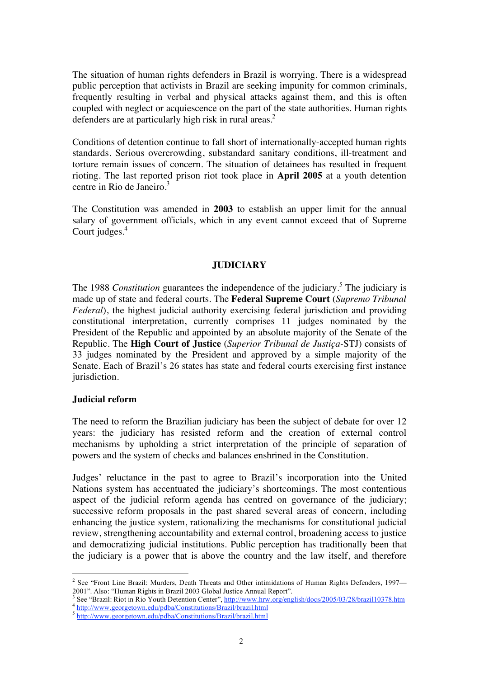The situation of human rights defenders in Brazil is worrying. There is a widespread public perception that activists in Brazil are seeking impunity for common criminals, frequently resulting in verbal and physical attacks against them, and this is often coupled with neglect or acquiescence on the part of the state authorities. Human rights defenders are at particularly high risk in rural areas.<sup>2</sup>

Conditions of detention continue to fall short of internationally-accepted human rights standards. Serious overcrowding, substandard sanitary conditions, ill-treatment and torture remain issues of concern. The situation of detainees has resulted in frequent rioting. The last reported prison riot took place in **April 2005** at a youth detention centre in Rio de Janeiro. $3<sup>3</sup>$ 

The Constitution was amended in **2003** to establish an upper limit for the annual salary of government officials, which in any event cannot exceed that of Supreme Court judges. 4

## **JUDICIARY**

The 1988 *Constitution* guarantees the independence of the judiciary.<sup>5</sup> The judiciary is made up of state and federal courts. The **Federal Supreme Court** (*Supremo Tribunal Federal*), the highest judicial authority exercising federal jurisdiction and providing constitutional interpretation, currently comprises 11 judges nominated by the President of the Republic and appointed by an absolute majority of the Senate of the Republic. The **High Court of Justice** (*Superior Tribunal de Justiça-*STJ) consists of 33 judges nominated by the President and approved by a simple majority of the Senate. Each of Brazil's 26 states has state and federal courts exercising first instance jurisdiction.

## **Judicial reform**

The need to reform the Brazilian judiciary has been the subject of debate for over 12 years: the judiciary has resisted reform and the creation of external control mechanisms by upholding a strict interpretation of the principle of separation of powers and the system of checks and balances enshrined in the Constitution.

Judges' reluctance in the past to agree to Brazil's incorporation into the United Nations system has accentuated the judiciary's shortcomings. The most contentious aspect of the judicial reform agenda has centred on governance of the judiciary; successive reform proposals in the past shared several areas of concern, including enhancing the justice system, rationalizing the mechanisms for constitutional judicial review, strengthening accountability and external control, broadening access to justice and democratizing judicial institutions. Public perception has traditionally been that the judiciary is a power that is above the country and the law itself, and therefore

 $\frac{1}{2}$ <sup>2</sup> See "Front Line Brazil: Murders, Death Threats and Other intimidations of Human Rights Defenders, 1997— 2001". Also: "Human Rights in Brazil 2003 Global Justice Annual Report". <sup>3</sup>

See "Brazil: Riot in Rio Youth Detention Center", http://www.hrw.org/english/docs/2005/03/28/brazil10378.htm<br>4 http://www.georgetown.edu/pdba/Constitutions/Brazil/brazil.html

<sup>5</sup> http://www.georgetown.edu/pdba/Constitutions/Brazil/brazil.html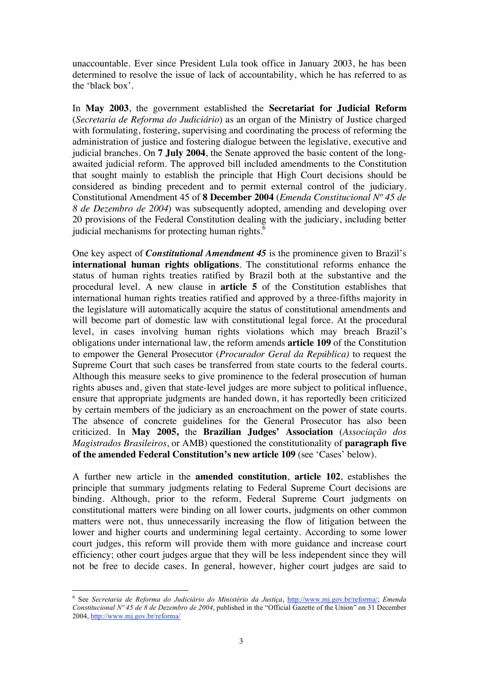unaccountable. Ever since President Lula took office in January 2003, he has been determined to resolve the issue of lack of accountability, which he has referred to as the 'black box'.

In **May 2003**, the government established the **Secretariat for Judicial Reform** (*Secretaria de Reforma do Judiciário*) as an organ of the Ministry of Justice charged with formulating, fostering, supervising and coordinating the process of reforming the administration of justice and fostering dialogue between the legislative, executive and judicial branches. On **7 July 2004**, the Senate approved the basic content of the longawaited judicial reform. The approved bill included amendments to the Constitution that sought mainly to establish the principle that High Court decisions should be considered as binding precedent and to permit external control of the judiciary. Constitutional Amendment 45 of **8 December 2004** (*Emenda Constitucional Nº 45 de 8 de Dezembro de 2004*) was subsequently adopted, amending and developing over 20 provisions of the Federal Constitution dealing with the judiciary, including better judicial mechanisms for protecting human rights.<sup>6</sup>

One key aspect of *Constitutional Amendment 45* is the prominence given to Brazil's **international human rights obligations**. The constitutional reforms enhance the status of human rights treaties ratified by Brazil both at the substantive and the procedural level. A new clause in **article 5** of the Constitution establishes that international human rights treaties ratified and approved by a three-fifths majority in the legislature will automatically acquire the status of constitutional amendments and will become part of domestic law with constitutional legal force. At the procedural level, in cases involving human rights violations which may breach Brazil's obligations under international law, the reform amends **article 109** of the Constitution to empower the General Prosecutor (*Procurador Geral da República)* to request the Supreme Court that such cases be transferred from state courts to the federal courts. Although this measure seeks to give prominence to the federal prosecution of human rights abuses and, given that state-level judges are more subject to political influence, ensure that appropriate judgments are handed down, it has reportedly been criticized by certain members of the judiciary as an encroachment on the power of state courts. The absence of concrete guidelines for the General Prosecutor has also been criticized. In **May 2005,** the **Brazilian Judges' Association** (*Associação dos Magistrados Brasileiros*, or AMB) questioned the constitutionality of **paragraph five of the amended Federal Constitution's new article 109** (see 'Cases' below).

A further new article in the **amended constitution**, **article 102**, establishes the principle that summary judgments relating to Federal Supreme Court decisions are binding. Although, prior to the reform, Federal Supreme Court judgments on constitutional matters were binding on all lower courts, judgments on other common matters were not, thus unnecessarily increasing the flow of litigation between the lower and higher courts and undermining legal certainty. According to some lower court judges, this reform will provide them with more guidance and increase court efficiency; other court judges argue that they will be less independent since they will not be free to decide cases. In general, however, higher court judges are said to

 <sup>6</sup> See *Secretaria de Reforma do Judiciário do Ministério da Justiça*, http://www.mj.gov.br/reforma/; *Emenda Constitucional Nº 45 de 8 de Dezembro de 2004*, published in the "Official Gazette of the Union" on 31 December 2004, http://www.mj.gov.br/reforma/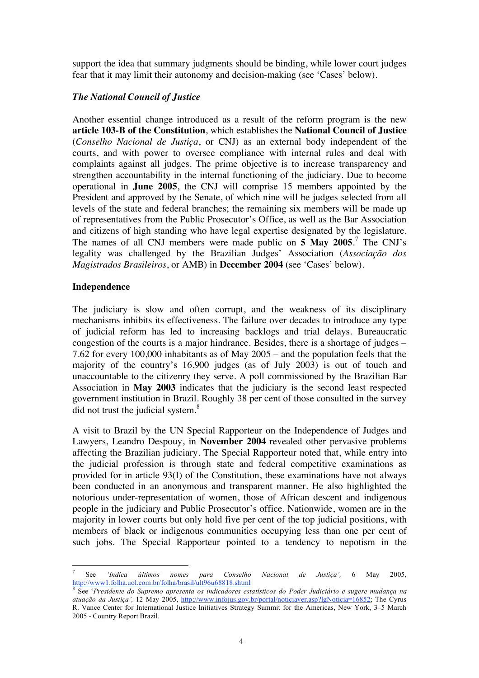support the idea that summary judgments should be binding, while lower court judges fear that it may limit their autonomy and decision-making (see 'Cases' below).

## *The National Council of Justice*

Another essential change introduced as a result of the reform program is the new **article 103-B of the Constitution**, which establishes the **National Council of Justice** (*Conselho Nacional de Justiça*, or CNJ) as an external body independent of the courts, and with power to oversee compliance with internal rules and deal with complaints against all judges. The prime objective is to increase transparency and strengthen accountability in the internal functioning of the judiciary. Due to become operational in **June 2005**, the CNJ will comprise 15 members appointed by the President and approved by the Senate, of which nine will be judges selected from all levels of the state and federal branches; the remaining six members will be made up of representatives from the Public Prosecutor's Office, as well as the Bar Association and citizens of high standing who have legal expertise designated by the legislature. The names of all CNJ members were made public on **5 May 2005**. 7 The CNJ's legality was challenged by the Brazilian Judges' Association (*Associação dos Magistrados Brasileiros*, or AMB) in **December 2004** (see 'Cases' below).

## **Independence**

The judiciary is slow and often corrupt, and the weakness of its disciplinary mechanisms inhibits its effectiveness. The failure over decades to introduce any type of judicial reform has led to increasing backlogs and trial delays. Bureaucratic congestion of the courts is a major hindrance. Besides, there is a shortage of judges – 7.62 for every 100,000 inhabitants as of May 2005 – and the population feels that the majority of the country's 16,900 judges (as of July 2003) is out of touch and unaccountable to the citizenry they serve. A poll commissioned by the Brazilian Bar Association in **May 2003** indicates that the judiciary is the second least respected government institution in Brazil. Roughly 38 per cent of those consulted in the survey did not trust the judicial system.<sup>8</sup>

A visit to Brazil by the UN Special Rapporteur on the Independence of Judges and Lawyers, Leandro Despouy, in **November 2004** revealed other pervasive problems affecting the Brazilian judiciary. The Special Rapporteur noted that, while entry into the judicial profession is through state and federal competitive examinations as provided for in article 93(I) of the Constitution, these examinations have not always been conducted in an anonymous and transparent manner. He also highlighted the notorious under-representation of women, those of African descent and indigenous people in the judiciary and Public Prosecutor's office. Nationwide, women are in the majority in lower courts but only hold five per cent of the top judicial positions, with members of black or indigenous communities occupying less than one per cent of such jobs. The Special Rapporteur pointed to a tendency to nepotism in the

<sup>-&</sup>lt;br>7 See *'Indica últimos nomes para Conselho Nacional de Justiça',* 6 May 2005, http://www1.folha.uol.com.br/folha/brasil/ult96u68818.shtml

<sup>8</sup> See '*Presidente do Supremo apresenta os indicadores estatísticos do Poder Judiciário e sugere mudança na atuação da Justiça',* 12 May 2005, http://www.infojus.gov.br/portal/noticiaver.asp?lgNoticia=16852; The Cyrus R. Vance Center for International Justice Initiatives Strategy Summit for the Americas, New York, 3–5 March 2005 - Country Report Brazil.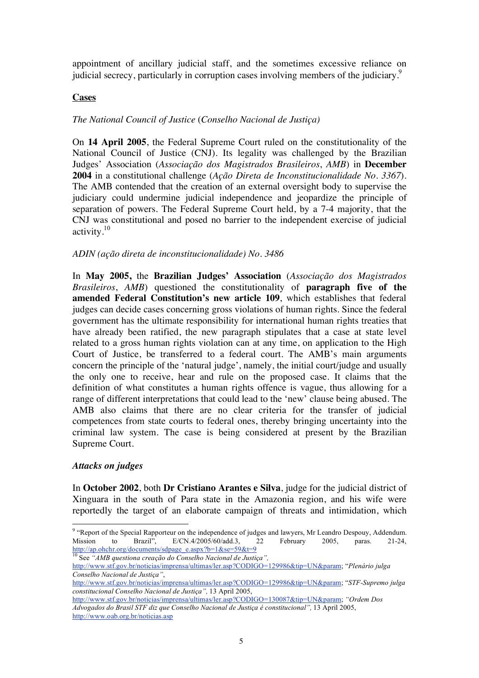appointment of ancillary judicial staff, and the sometimes excessive reliance on judicial secrecy, particularly in corruption cases involving members of the judiciary.<sup>9</sup>

# **Cases**

# *The National Council of Justice* (*Conselho Nacional de Justiça)*

On **14 April 2005**, the Federal Supreme Court ruled on the constitutionality of the National Council of Justice (CNJ). Its legality was challenged by the Brazilian Judges' Association (*Associação dos Magistrados Brasileiros*, *AMB*) in **December 2004** in a constitutional challenge (*Ação Direta de Inconstitucionalidade No. 3367*). The AMB contended that the creation of an external oversight body to supervise the judiciary could undermine judicial independence and jeopardize the principle of separation of powers. The Federal Supreme Court held, by a 7-4 majority, that the CNJ was constitutional and posed no barrier to the independent exercise of judicial activity. $10$ 

## *ADIN (ação direta de inconstitucionalidade) No. 3486*

In **May 2005,** the **Brazilian Judges' Association** (*Associação dos Magistrados Brasileiros*, *AMB*) questioned the constitutionality of **paragraph five of the amended Federal Constitution's new article 109**, which establishes that federal judges can decide cases concerning gross violations of human rights. Since the federal government has the ultimate responsibility for international human rights treaties that have already been ratified, the new paragraph stipulates that a case at state level related to a gross human rights violation can at any time, on application to the High Court of Justice, be transferred to a federal court. The AMB's main arguments concern the principle of the 'natural judge', namely, the initial court/judge and usually the only one to receive, hear and rule on the proposed case. It claims that the definition of what constitutes a human rights offence is vague, thus allowing for a range of different interpretations that could lead to the 'new' clause being abused. The AMB also claims that there are no clear criteria for the transfer of judicial competences from state courts to federal ones, thereby bringing uncertainty into the criminal law system. The case is being considered at present by the Brazilian Supreme Court.

## *Attacks on judges*

In **October 2002**, both **Dr Cristiano Arantes e Silva**, judge for the judicial district of Xinguara in the south of Para state in the Amazonia region, and his wife were reportedly the target of an elaborate campaign of threats and intimidation, which

<sup>-&</sup>lt;br>9 <sup>9</sup> "Report of the Special Rapporteur on the independence of judges and lawyers, Mr Leandro Despouy, Addendum.<br>Mission to Brazil",  $E/CN.4/2005/60/add.3$ , 22 February 2005, paras. 21-24, Mission to Brazil", E/CN.4/2005/60/add.3, 22 February 2005, paras. 21-24,

http://ap.ohchr.org/documents/sdpage\_e.aspx?b=1&se=59&t=9 10 See *"AMB questiona creação do Conselho Nacional de Justiça",* 

http://www.stf.gov.br/noticias/imprensa/ultimas/ler.asp?CODIGO=129986&tip=UN&param; "*Plenário julga Conselho Nacional de Justiça"*,

http://www.stf.gov.br/noticias/imprensa/ultimas/ler.asp?CODIGO=129986&tip=UN&param; "*STF-Supremo julga constitucional Conselho Nacional de Justiça",* 13 April 2005,

http://www.stf.gov.br/noticias/imprensa/ultimas/ler.asp?CODIGO=130087&tip=UN&param; "Ordem Dos *Advogados do Brasil STF diz que Conselho Nacional de Justiça é constitucional",* 13 April 2005, http://www.oab.org.br/noticias.asp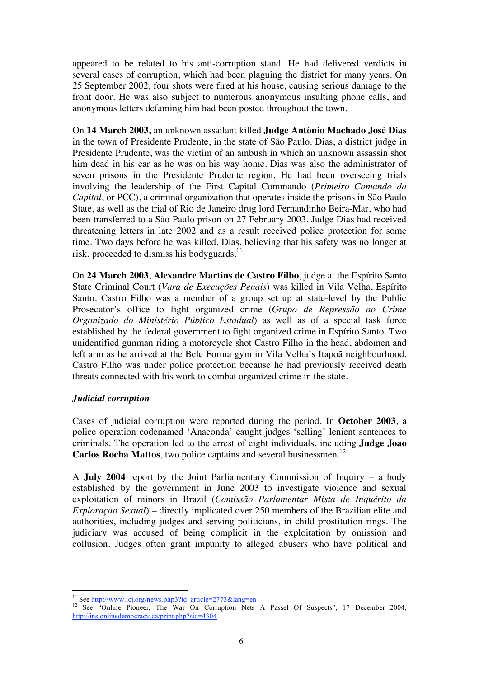appeared to be related to his anti-corruption stand. He had delivered verdicts in several cases of corruption, which had been plaguing the district for many years. On 25 September 2002, four shots were fired at his house, causing serious damage to the front door. He was also subject to numerous anonymous insulting phone calls, and anonymous letters defaming him had been posted throughout the town.

On **14 March 2003,** an unknown assailant killed **Judge Antônio Machado José Dias** in the town of Presidente Prudente, in the state of São Paulo. Dias, a district judge in Presidente Prudente, was the victim of an ambush in which an unknown assassin shot him dead in his car as he was on his way home. Dias was also the administrator of seven prisons in the Presidente Prudente region. He had been overseeing trials involving the leadership of the First Capital Commando (*Primeiro Comando da Capital*, or PCC), a criminal organization that operates inside the prisons in São Paulo State, as well as the trial of Rio de Janeiro drug lord Fernandinho Beira-Mar, who had been transferred to a São Paulo prison on 27 February 2003. Judge Dias had received threatening letters in late 2002 and as a result received police protection for some time. Two days before he was killed, Dias, believing that his safety was no longer at risk, proceeded to dismiss his bodyguards.<sup>11</sup>

On **24 March 2003**, **Alexandre Martins de Castro Filho**, judge at the Espírito Santo State Criminal Court (*Vara de Execuções Penais*) was killed in Vila Velha, Espírito Santo. Castro Filho was a member of a group set up at state-level by the Public Prosecutor's office to fight organized crime (*Grupo de Repressão ao Crime Organizado do Ministério Público Estadual*) as well as of a special task force established by the federal government to fight organized crime in Espírito Santo. Two unidentified gunman riding a motorcycle shot Castro Filho in the head, abdomen and left arm as he arrived at the Bele Forma gym in Vila Velha's Itapoã neighbourhood. Castro Filho was under police protection because he had previously received death threats connected with his work to combat organized crime in the state.

## *Judicial corruption*

Cases of judicial corruption were reported during the period. In **October 2003**, a police operation codenamed 'Anaconda' caught judges 'selling' lenient sentences to criminals. The operation led to the arrest of eight individuals, including **Judge Joao Carlos Rocha Mattos**, two police captains and several businessmen.<sup>12</sup>

A **July 2004** report by the Joint Parliamentary Commission of Inquiry – a body established by the government in June 2003 to investigate violence and sexual exploitation of minors in Brazil (*Comissão Parlamentar Mista de Inquérito da Exploração Sexual*) – directly implicated over 250 members of the Brazilian elite and authorities, including judges and serving politicians, in child prostitution rings. The judiciary was accused of being complicit in the exploitation by omission and collusion. Judges often grant impunity to alleged abusers who have political and

<sup>&</sup>lt;sup>11</sup> See http://www.icj.org/news.php3?id\_article=2773&lang=en <sup>12</sup> See "Online Pioneer, The War On Corruption Nets A Passel Of Suspects", 17 December 2004, http://ins.onlinedemocracy.ca/print.php?sid=4304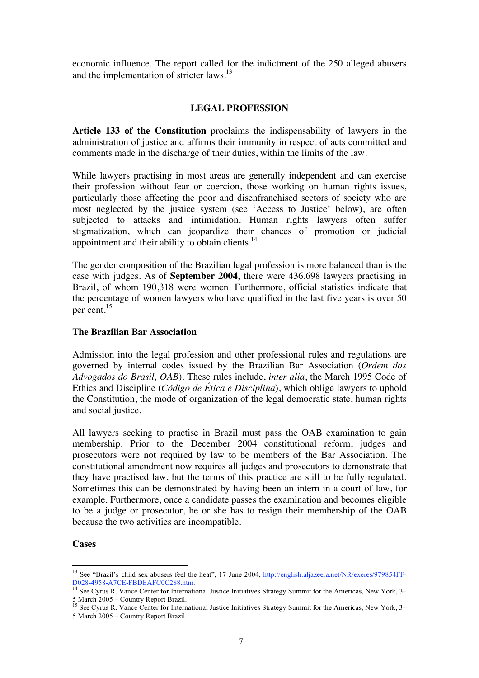economic influence. The report called for the indictment of the 250 alleged abusers and the implementation of stricter laws.<sup>13</sup>

## **LEGAL PROFESSION**

**Article 133 of the Constitution** proclaims the indispensability of lawyers in the administration of justice and affirms their immunity in respect of acts committed and comments made in the discharge of their duties, within the limits of the law.

While lawyers practising in most areas are generally independent and can exercise their profession without fear or coercion, those working on human rights issues, particularly those affecting the poor and disenfranchised sectors of society who are most neglected by the justice system (see 'Access to Justice' below), are often subjected to attacks and intimidation. Human rights lawyers often suffer stigmatization, which can jeopardize their chances of promotion or judicial appointment and their ability to obtain clients.<sup>14</sup>

The gender composition of the Brazilian legal profession is more balanced than is the case with judges. As of **September 2004,** there were 436,698 lawyers practising in Brazil, of whom 190,318 were women. Furthermore, official statistics indicate that the percentage of women lawyers who have qualified in the last five years is over 50 per cent.<sup>15</sup>

#### **The Brazilian Bar Association**

Admission into the legal profession and other professional rules and regulations are governed by internal codes issued by the Brazilian Bar Association (*Ordem dos Advogados do Brasil, OAB*). These rules include, *inter alia*, the March 1995 Code of Ethics and Discipline (*Código de Ética e Disciplina*), which oblige lawyers to uphold the Constitution, the mode of organization of the legal democratic state, human rights and social justice.

All lawyers seeking to practise in Brazil must pass the OAB examination to gain membership. Prior to the December 2004 constitutional reform, judges and prosecutors were not required by law to be members of the Bar Association. The constitutional amendment now requires all judges and prosecutors to demonstrate that they have practised law, but the terms of this practice are still to be fully regulated. Sometimes this can be demonstrated by having been an intern in a court of law, for example. Furthermore, once a candidate passes the examination and becomes eligible to be a judge or prosecutor, he or she has to resign their membership of the OAB because the two activities are incompatible.

#### **Cases**

<sup>&</sup>lt;sup>13</sup> See "Brazil's child sex abusers feel the heat", 17 June 2004, http://english.aljazeera.net/NR/exeres/979854FF-D028-4958-A7CE-FBDEAFC0C288.htm.<br><sup>14</sup> See Cyrus R. Vance Center for International Justice Initiatives Strategy Summit for the Americas, New York, 3–

<sup>5</sup> March 2005 – Country Report Brazil. 15 See Cyrus R. Vance Center for International Justice Initiatives Strategy Summit for the Americas, New York, 3–

<sup>5</sup> March 2005 – Country Report Brazil.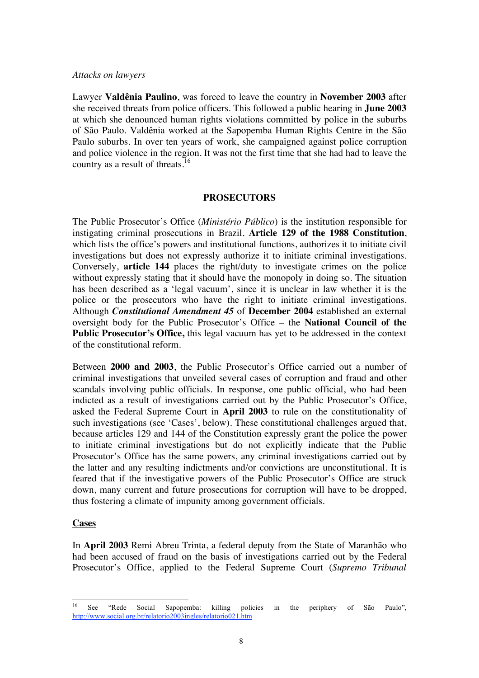#### *Attacks on lawyers*

Lawyer **Valdênia Paulino**, was forced to leave the country in **November 2003** after she received threats from police officers. This followed a public hearing in **June 2003** at which she denounced human rights violations committed by police in the suburbs of São Paulo. Valdênia worked at the Sapopemba Human Rights Centre in the São Paulo suburbs. In over ten years of work, she campaigned against police corruption and police violence in the region. It was not the first time that she had had to leave the country as a result of threats.<sup>16</sup>

#### **PROSECUTORS**

The Public Prosecutor's Office (*Ministério Público*) is the institution responsible for instigating criminal prosecutions in Brazil. **Article 129 of the 1988 Constitution**, which lists the office's powers and institutional functions, authorizes it to initiate civil investigations but does not expressly authorize it to initiate criminal investigations. Conversely, **article 144** places the right/duty to investigate crimes on the police without expressly stating that it should have the monopoly in doing so. The situation has been described as a 'legal vacuum', since it is unclear in law whether it is the police or the prosecutors who have the right to initiate criminal investigations. Although *Constitutional Amendment 45* of **December 2004** established an external oversight body for the Public Prosecutor's Office – the **National Council of the Public Prosecutor's Office,** this legal vacuum has yet to be addressed in the context of the constitutional reform.

Between **2000 and 2003**, the Public Prosecutor's Office carried out a number of criminal investigations that unveiled several cases of corruption and fraud and other scandals involving public officials. In response, one public official, who had been indicted as a result of investigations carried out by the Public Prosecutor's Office, asked the Federal Supreme Court in **April 2003** to rule on the constitutionality of such investigations (see 'Cases', below). These constitutional challenges argued that, because articles 129 and 144 of the Constitution expressly grant the police the power to initiate criminal investigations but do not explicitly indicate that the Public Prosecutor's Office has the same powers, any criminal investigations carried out by the latter and any resulting indictments and/or convictions are unconstitutional. It is feared that if the investigative powers of the Public Prosecutor's Office are struck down, many current and future prosecutions for corruption will have to be dropped, thus fostering a climate of impunity among government officials.

#### **Cases**

In **April 2003** Remi Abreu Trinta, a federal deputy from the State of Maranhão who had been accused of fraud on the basis of investigations carried out by the Federal Prosecutor's Office, applied to the Federal Supreme Court (*Supremo Tribunal* 

 <sup>16</sup> See "Rede Social Sapopemba: killing policies in the periphery of São Paulo", http://www.social.org.br/relatorio2003ingles/relatorio021.htm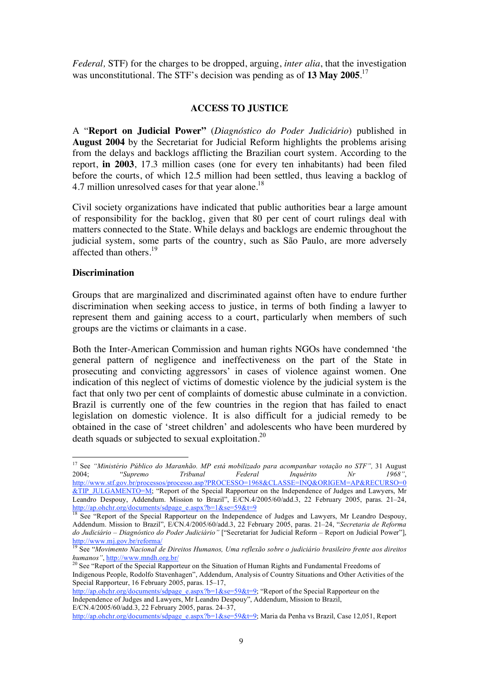*Federal,* STF) for the charges to be dropped, arguing, *inter alia*, that the investigation was unconstitutional. The STF's decision was pending as of **13 May 2005**. 17

# **ACCESS TO JUSTICE**

A "**Report on Judicial Power"** (*Diagnóstico do Poder Judiciário*) published in **August 2004** by the Secretariat for Judicial Reform highlights the problems arising from the delays and backlogs afflicting the Brazilian court system. According to the report, **in 2003**, 17.3 million cases (one for every ten inhabitants) had been filed before the courts, of which 12.5 million had been settled, thus leaving a backlog of 4.7 million unresolved cases for that year alone.<sup>18</sup>

Civil society organizations have indicated that public authorities bear a large amount of responsibility for the backlog, given that 80 per cent of court rulings deal with matters connected to the State. While delays and backlogs are endemic throughout the judicial system, some parts of the country, such as São Paulo, are more adversely affected than others. $19$ 

## **Discrimination**

Groups that are marginalized and discriminated against often have to endure further discrimination when seeking access to justice, in terms of both finding a lawyer to represent them and gaining access to a court, particularly when members of such groups are the victims or claimants in a case.

Both the Inter-American Commission and human rights NGOs have condemned 'the general pattern of negligence and ineffectiveness on the part of the State in prosecuting and convicting aggressors' in cases of violence against women. One indication of this neglect of victims of domestic violence by the judicial system is the fact that only two per cent of complaints of domestic abuse culminate in a conviction. Brazil is currently one of the few countries in the region that has failed to enact legislation on domestic violence. It is also difficult for a judicial remedy to be obtained in the case of 'street children' and adolescents who have been murdered by death squads or subjected to sexual exploitation.<sup>20</sup>

http://ap.ohchr.org/documents/sdpage\_e.aspx?b=1&se=59&t=9; Maria da Penha vs Brazil, Case 12,051, Report

<sup>&</sup>lt;sup>17</sup> See "Ministério Público do Maranhão. MP está mobilizado para acompanhar votação no STF", 31 August 2004; "*Supremo Tribunal Federal Inquérito Nr 1968"*, http://www.stf.gov.br/processos/processo.asp?PROCESSO=1968&CLASSE=INQ&ORIGEM=AP&RECURSO=0 &TIP\_JULGAMENTO=M; "Report of the Special Rapporteur on the Independence of Judges and Lawyers, Mr Leandro Despouy, Addendum. Mission to Brazil", E/CN.4/2005/60/add.3, 22 February 2005, paras. 21–24, http://ap.ohchr.org/documents/sdpage\_e.aspx?b=1&se=59&t=9

**<sup>18</sup> See "Report of the Special Rapporteur on the Independence of Judges and Lawyers, Mr Leandro Despouy,** Addendum. Mission to Brazil", E/CN.4/2005/60/add.3, 22 February 2005, paras. 21–24, "*Secretaria de Reforma do Judiciário* – *Diagnóstico do Poder Judiciário"* ["Secretariat for Judicial Reform – Report on Judicial Power"], http://www.mj.gov.br/reforma/

<sup>19</sup> See "*Movimento Nacional de Direitos Humanos, Uma reflexão sobre o judiciário brasileiro frente aos direitos humanos"*, http://www.mndh.org.br/<br><sup>20</sup> See "Report of the Special Rapporteur on the Situation of Human Rights and Fundamental Freedoms of

Indigenous People, Rodolfo Stavenhagen", Addendum, Analysis of Country Situations and Other Activities of the Special Rapporteur, 16 February 2005, paras. 15–17,

http://ap.ohchr.org/documents/sdpage\_e.aspx?b=1&se=59&t=9; "Report of the Special Rapporteur on the Independence of Judges and Lawyers, Mr Leandro Despouy", Addendum, Mission to Brazil, E/CN.4/2005/60/add.3, 22 February 2005, paras. 24–37,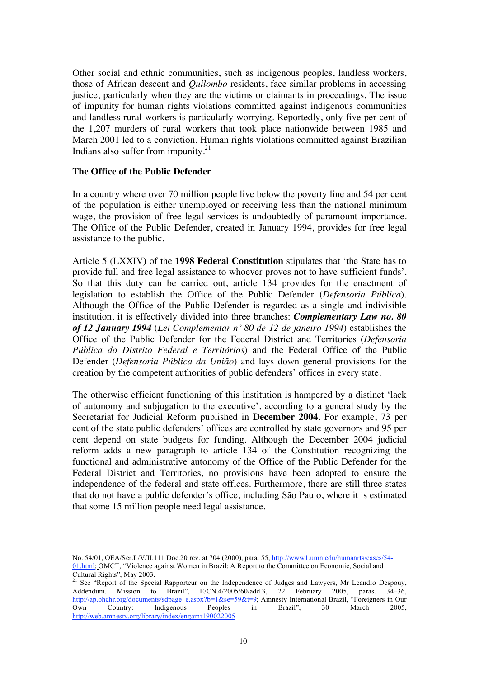Other social and ethnic communities, such as indigenous peoples, landless workers, those of African descent and *Quilombo* residents, face similar problems in accessing justice, particularly when they are the victims or claimants in proceedings. The issue of impunity for human rights violations committed against indigenous communities and landless rural workers is particularly worrying. Reportedly, only five per cent of the 1,207 murders of rural workers that took place nationwide between 1985 and March 2001 led to a conviction. Human rights violations committed against Brazilian Indians also suffer from impunity. $2<sup>1</sup>$ 

#### **The Office of the Public Defender**

In a country where over 70 million people live below the poverty line and 54 per cent of the population is either unemployed or receiving less than the national minimum wage, the provision of free legal services is undoubtedly of paramount importance. The Office of the Public Defender, created in January 1994, provides for free legal assistance to the public.

Article 5 (LXXIV) of the **1998 Federal Constitution** stipulates that 'the State has to provide full and free legal assistance to whoever proves not to have sufficient funds'. So that this duty can be carried out, article 134 provides for the enactment of legislation to establish the Office of the Public Defender (*Defensoria Pública*). Although the Office of the Public Defender is regarded as a single and indivisible institution, it is effectively divided into three branches: *Complementary Law no. 80 of 12 January 1994* (*Lei Complementar nº 80 de 12 de janeiro 1994*) establishes the Office of the Public Defender for the Federal District and Territories (*Defensoria Pública do Distrito Federal e Territórios*) and the Federal Office of the Public Defender (*Defensoria Pública da União*) and lays down general provisions for the creation by the competent authorities of public defenders' offices in every state.

The otherwise efficient functioning of this institution is hampered by a distinct 'lack of autonomy and subjugation to the executive', according to a general study by the Secretariat for Judicial Reform published in **December 2004**. For example, 73 per cent of the state public defenders' offices are controlled by state governors and 95 per cent depend on state budgets for funding. Although the December 2004 judicial reform adds a new paragraph to article 134 of the Constitution recognizing the functional and administrative autonomy of the Office of the Public Defender for the Federal District and Territories, no provisions have been adopted to ensure the independence of the federal and state offices. Furthermore, there are still three states that do not have a public defender's office, including São Paulo, where it is estimated that some 15 million people need legal assistance.

No. 54/01, OEA/Ser.L/V/II.111 Doc.20 rev. at 704 (2000), para. 55, http://www1.umn.edu/humanrts/cases/54- 01.html; OMCT, "Violence against Women in Brazil: A Report to the Committee on Economic, Social and Cultural Rights", May 2003.

<sup>&</sup>lt;sup>21</sup> See "Report of the Special Rapporteur on the Independence of Judges and Lawyers, Mr Leandro Despouy, Addendum. Mission to Brazil", E/CN.4/2005/60/add.3, 22 February 2005, paras. 34–36, http://ap.ohchr.org/documents/sdpage\_e.aspx?b=1&se=59&t=9; Amnesty International Brazil, "Foreigners in Our Own Country: Indigenous Peoples in Brazil", 30 March 2005, http://web.amnesty.org/library/index/engamr190022005